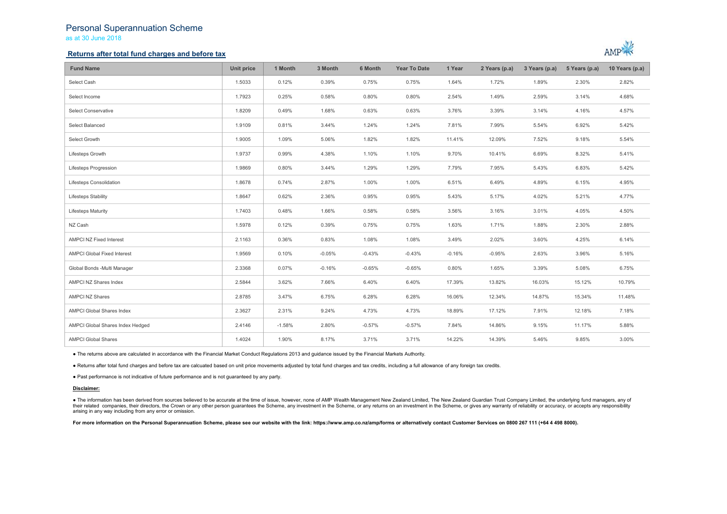# Personal Superannuation Scheme

as at 30 June 2018

## **Returns after total fund charges and before tax**



| <b>Fund Name</b>                   | Unit price | 1 Month  | 3 Month  | 6 Month  | <b>Year To Date</b> | 1 Year   | 2 Years (p.a) | 3 Years (p.a) | 5 Years (p.a) | 10 Years (p.a) |
|------------------------------------|------------|----------|----------|----------|---------------------|----------|---------------|---------------|---------------|----------------|
| Select Cash                        | 1.5033     | 0.12%    | 0.39%    | 0.75%    | 0.75%               | 1.64%    | 1.72%         | 1.89%         | 2.30%         | 2.82%          |
| Select Income                      | 1.7923     | 0.25%    | 0.58%    | 0.80%    | 0.80%               | 2.54%    | 1.49%         | 2.59%         | 3.14%         | 4.68%          |
| Select Conservative                | 1.8209     | 0.49%    | 1.68%    | 0.63%    | 0.63%               | 3.76%    | 3.39%         | 3.14%         | 4.16%         | 4.57%          |
| Select Balanced                    | 1.9109     | 0.81%    | 3.44%    | 1.24%    | 1.24%               | 7.81%    | 7.99%         | 5.54%         | 6.92%         | 5.42%          |
| Select Growth                      | 1.9005     | 1.09%    | 5.06%    | 1.82%    | 1.82%               | 11.41%   | 12.09%        | 7.52%         | 9.18%         | 5.54%          |
| Lifesteps Growth                   | 1.9737     | 0.99%    | 4.38%    | 1.10%    | 1.10%               | 9.70%    | 10.41%        | 6.69%         | 8.32%         | 5.41%          |
| Lifesteps Progression              | 1.9869     | 0.80%    | 3.44%    | 1.29%    | 1.29%               | 7.79%    | 7.95%         | 5.43%         | 6.83%         | 5.42%          |
| Lifesteps Consolidation            | 1.8678     | 0.74%    | 2.87%    | 1.00%    | 1.00%               | 6.51%    | 6.49%         | 4.89%         | 6.15%         | 4.95%          |
| <b>Lifesteps Stability</b>         | 1.8647     | 0.62%    | 2.36%    | 0.95%    | 0.95%               | 5.43%    | 5.17%         | 4.02%         | 5.21%         | 4.77%          |
| <b>Lifesteps Maturity</b>          | 1.7403     | 0.48%    | 1.66%    | 0.58%    | 0.58%               | 3.56%    | 3.16%         | 3.01%         | 4.05%         | 4.50%          |
| NZ Cash                            | 1.5978     | 0.12%    | 0.39%    | 0.75%    | 0.75%               | 1.63%    | 1.71%         | 1.88%         | 2.30%         | 2.88%          |
| <b>AMPCI NZ Fixed Interest</b>     | 2.1163     | 0.36%    | 0.83%    | 1.08%    | 1.08%               | 3.49%    | 2.02%         | 3.60%         | 4.25%         | 6.14%          |
| <b>AMPCI Global Fixed Interest</b> | 1.9569     | 0.10%    | $-0.05%$ | $-0.43%$ | $-0.43%$            | $-0.16%$ | $-0.95%$      | 2.63%         | 3.96%         | 5.16%          |
| Global Bonds -Multi Manager        | 2.3368     | 0.07%    | $-0.16%$ | $-0.65%$ | $-0.65%$            | 0.80%    | 1.65%         | 3.39%         | 5.08%         | 6.75%          |
| AMPCI NZ Shares Index              | 2.5844     | 3.62%    | 7.66%    | 6.40%    | 6.40%               | 17.39%   | 13.82%        | 16.03%        | 15.12%        | 10.79%         |
| <b>AMPCI NZ Shares</b>             | 2.8785     | 3.47%    | 6.75%    | 6.28%    | 6.28%               | 16.06%   | 12.34%        | 14.87%        | 15.34%        | 11.48%         |
| AMPCI Global Shares Index          | 2.3627     | 2.31%    | 9.24%    | 4.73%    | 4.73%               | 18.89%   | 17.12%        | 7.91%         | 12.18%        | 7.18%          |
| AMPCI Global Shares Index Hedged   | 2.4146     | $-1.58%$ | 2.80%    | $-0.57%$ | $-0.57%$            | 7.84%    | 14.86%        | 9.15%         | 11.17%        | 5.88%          |
| <b>AMPCI Global Shares</b>         | 1.4024     | 1.90%    | 8.17%    | 3.71%    | 3.71%               | 14.22%   | 14.39%        | 5.46%         | 9.85%         | 3.00%          |

● The returns above are calculated in accordance with the Financial Market Conduct Regulations 2013 and guidance issued by the Financial Markets Authority.

● Returns after total fund charges and before tax are calcuated based on unit price movements adjusted by total fund charges and tax credits, including a full allowance of any foreign tax credits.

● Past performance is not indicative of future performance and is not guaranteed by any party.

### **Disclaimer:**

• The information has been derived from sources believed to be accurate at the time of issue, however, none of AMP Wealth Management New Zealand Limited, The New Zealand Guardian Trust Company Limited, the underlying fund their related companies, their directors, the Crown or any other person quarantees the Scheme, any investment in the Scheme, or any returns on an investment in the Scheme, or gives any warranty of reliability or accuracy, arising in any way including from any error or omission.

For more information on the Personal Superannuation Scheme, please see our website with the link: https://www.amp.co.nz/amp/forms or alternatively contact Customer Services on 0800 267 111 (+64 4 498 8000).